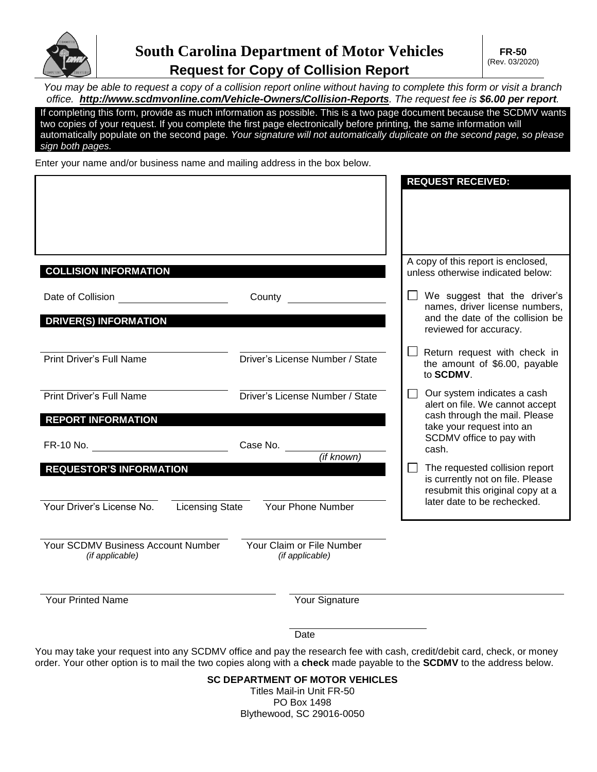

*You may be able to request a copy of a collision report online without having to complete this form or visit a branch office. <http://www.scdmvonline.com/Vehicle-Owners/Collision-Reports>. The request fee is \$6.00 per report.* 

If completing this form, provide as much information as possible. This is a two page document because the SCDMV wants two copies of your request. If you complete the first page electronically before printing, the same information will automatically populate on the second page. *Your signature will not automatically duplicate on the second page, so please sign both pages.*

Enter your name and/or business name and mailing address in the box below.

|                                                     |                                 | <b>REQUEST RECEIVED:</b>                                                   |
|-----------------------------------------------------|---------------------------------|----------------------------------------------------------------------------|
|                                                     |                                 |                                                                            |
|                                                     |                                 |                                                                            |
|                                                     |                                 |                                                                            |
| <b>COLLISION INFORMATION</b>                        |                                 | A copy of this report is enclosed,<br>unless otherwise indicated below:    |
| Date of Collision                                   | County                          | We suggest that the driver's<br>names, driver license numbers,             |
| <b>DRIVER(S) INFORMATION</b>                        |                                 | and the date of the collision be<br>reviewed for accuracy.                 |
| <b>Print Driver's Full Name</b>                     | Driver's License Number / State | Return request with check in<br>the amount of \$6.00, payable<br>to SCDMV. |
| <b>Print Driver's Full Name</b>                     | Driver's License Number / State | Our system indicates a cash<br>$\sim$<br>alert on file. We cannot accept   |
| <b>REPORT INFORMATION</b>                           |                                 | cash through the mail. Please<br>take your request into an                 |
| FR-10 No.                                           | Case No.<br>(if known)          | SCDMV office to pay with<br>cash.                                          |
| <b>REQUESTOR'S INFORMATION</b>                      |                                 | The requested collision report<br>is currently not on file. Please         |
|                                                     |                                 | resubmit this original copy at a                                           |
| Your Driver's License No.<br><b>Licensing State</b> | <b>Your Phone Number</b>        | later date to be rechecked.                                                |
| Your SCDMV Business Account Number                  | Your Claim or File Number       |                                                                            |
| (if applicable)                                     | (if applicable)                 |                                                                            |
| <b>Your Printed Name</b>                            | Your Signature                  |                                                                            |

Date

You may take your request into any SCDMV office and pay the research fee with cash, credit/debit card, check, or money order. Your other option is to mail the two copies along with a **check** made payable to the **SCDMV** to the address below.

## **SC DEPARTMENT OF MOTOR VEHICLES**

Titles Mail-in Unit FR-50 PO Box 1498 Blythewood, SC 29016-0050